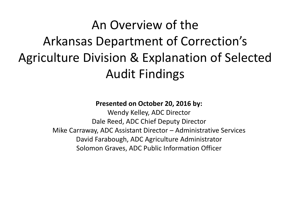#### An Overview of the Arkansas Department of Correction's Agriculture Division & Explanation of Selected Audit Findings

#### **Presented on October 20, 2016 by:**

Wendy Kelley, ADC Director Dale Reed, ADC Chief Deputy Director Mike Carraway, ADC Assistant Director – Administrative Services David Farabough, ADC Agriculture Administrator Solomon Graves, ADC Public Information Officer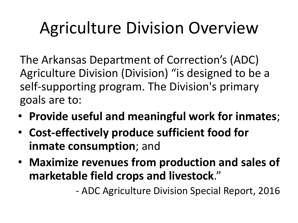# Agriculture Division Overview

The Arkansas Department of Correction's (ADC) Agriculture Division (Division) "is designed to be a self-supporting program. The Division's primary goals are to:

- **Provide useful and meaningful work for inmates**;
- **Cost-effectively produce sufficient food for inmate consumption**; and
- **Maximize revenues from production and sales of marketable field crops and livestock**."

- ADC Agriculture Division Special Report, 2016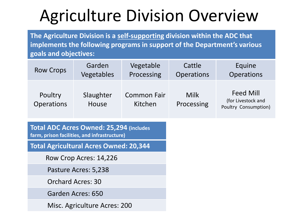# Agriculture Division Overview

**The Agriculture Division is a self-supporting division within the ADC that implements the following programs in support of the Department's various goals and objectives:**

| <b>Row Crops</b>             | Garden             | Vegetable                     | Cattle             | Equine                                                         |
|------------------------------|--------------------|-------------------------------|--------------------|----------------------------------------------------------------|
|                              | Vegetables         | Processing                    | <b>Operations</b>  | <b>Operations</b>                                              |
| Poultry<br><b>Operations</b> | Slaughter<br>House | <b>Common Fair</b><br>Kitchen | Milk<br>Processing | <b>Feed Mill</b><br>(for Livestock and<br>Poultry Consumption) |

**Total ADC Acres Owned: 25,294 (includes farm, prison facilities, and infrastructure)**

**Total Agricultural Acres Owned: 20,344**

Row Crop Acres: 14,226

Pasture Acres: 5,238

Orchard Acres: 30

Garden Acres: 650

Misc. Agriculture Acres: 200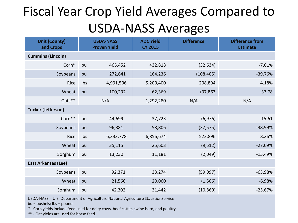#### Fiscal Year Crop Yield Averages Compared to USDA-NASS Averages

| <b>Unit (County)</b><br>and Crops |     | <b>USDA-NASS</b><br><b>Proven Yield</b> | <b>ADC Yield</b><br><b>CY 2015</b> | <b>Difference</b> | <b>Difference from</b><br><b>Estimate</b> |  |  |  |  |
|-----------------------------------|-----|-----------------------------------------|------------------------------------|-------------------|-------------------------------------------|--|--|--|--|
| <b>Cummins (Lincoln)</b>          |     |                                         |                                    |                   |                                           |  |  |  |  |
| Corn*                             | bu  | 465,452                                 | 432,818                            | (32, 634)         | $-7.01%$                                  |  |  |  |  |
| Soybeans                          | bu  | 272,641                                 | 164,236                            | (108, 405)        | $-39.76%$                                 |  |  |  |  |
| Rice                              | Ibs | 4,991,506                               | 5,200,400                          | 208,894           | 4.18%                                     |  |  |  |  |
| Wheat                             | bu  | 100,232                                 | 62,369                             | (37, 863)         | $-37.78$                                  |  |  |  |  |
| Oats**                            |     | N/A                                     | 1,292,280                          | N/A               | N/A                                       |  |  |  |  |
| <b>Tucker (Jefferson)</b>         |     |                                         |                                    |                   |                                           |  |  |  |  |
| Corn**                            | bu  | 44,699                                  | 37,723                             | (6, 976)          | $-15.61$                                  |  |  |  |  |
| Soybeans                          | bu  | 96,381                                  | 58,806                             | (37, 575)         | $-38.99%$                                 |  |  |  |  |
| Rice                              | Ibs | 6,333,778                               | 6,856,674                          | 522,896           | 8.26%                                     |  |  |  |  |
| Wheat                             | bu  | 35,115                                  | 25,603                             | (9, 512)          | $-27.09%$                                 |  |  |  |  |
| Sorghum                           | bu  | 13,230                                  | (2,049)<br>11,181                  |                   | $-15.49%$                                 |  |  |  |  |
| <b>East Arkansas (Lee)</b>        |     |                                         |                                    |                   |                                           |  |  |  |  |
| Soybeans                          | bu  | 92,371                                  | 33,274                             | (59,097)          | $-63.98%$                                 |  |  |  |  |
| Wheat                             | bu  | 21,566                                  | 20,060                             | (1,506)           | $-6.98%$                                  |  |  |  |  |
| Sorghum                           | bu  | 42,302                                  | 31,442                             | (10, 860)         | $-25.67%$                                 |  |  |  |  |

USDA-NASS = U.S. Department of Agriculture National Agriculture Statistics Service

bu = bushels; lbs = pounds

\* - Corn yields include feed used for dairy cows, beef cattle, swine herd, and poultry.

\*\* - Oat yields are used for horse feed.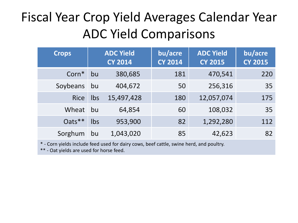#### Fiscal Year Crop Yield Averages Calendar Year ADC Yield Comparisons

| <b>Crops</b>      |     | <b>ADC Yield</b><br><b>CY 2014</b> | bu/acre<br><b>CY 2014</b> | <b>ADC Yield</b><br><b>CY 2015</b> | bu/acre<br><b>CY 2015</b> |
|-------------------|-----|------------------------------------|---------------------------|------------------------------------|---------------------------|
| Corn <sup>*</sup> | bu  | 380,685                            | 181                       | 470,541                            | 220                       |
| Soybeans          | bu  | 404,672                            | 50                        | 256,316                            | 35                        |
| <b>Rice</b>       | Ibs | 15,497,428                         | 180                       | 12,057,074                         | 175                       |
| Wheat             | bu  | 64,854                             | 60                        | 108,032                            | 35                        |
| $Qats**$          | Ibs | 953,900                            | 82                        | 1,292,280                          | 112                       |
| Sorghum           | bu  | 1,043,020                          | 85                        | 42,623                             | 82                        |

\* - Corn yields include feed used for dairy cows, beef cattle, swine herd, and poultry.

\*\* - Oat yields are used for horse feed.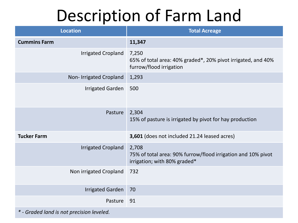#### Description of Farm Land

| <b>Location</b>                           | <b>Total Acreage</b>                                                                                  |
|-------------------------------------------|-------------------------------------------------------------------------------------------------------|
| <b>Cummins Farm</b>                       | 11,347                                                                                                |
| <b>Irrigated Cropland</b>                 | 7,250<br>65% of total area: 40% graded*, 20% pivot irrigated, and 40%<br>furrow/flood irrigation      |
| Non- Irrigated Cropland                   | 1,293                                                                                                 |
| <b>Irrigated Garden</b>                   | 500                                                                                                   |
| Pasture                                   | 2,304<br>15% of pasture is irrigated by pivot for hay production                                      |
| <b>Tucker Farm</b>                        | 3,601 (does not included 21.24 leased acres)                                                          |
| <b>Irrigated Cropland</b>                 | 2,708<br>75% of total area: 90% furrow/flood irrigation and 10% pivot<br>irrigation; with 80% graded* |
| Non irrigated Cropland                    | 732                                                                                                   |
| <b>Irrigated Garden</b>                   | 70                                                                                                    |
| Pasture                                   | 91                                                                                                    |
| * - Graded land is not precision leveled. |                                                                                                       |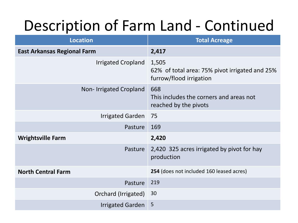#### Description of Farm Land - Continued

| <b>Location</b>                    | <b>Total Acreage</b>                                                               |  |  |  |  |  |  |  |
|------------------------------------|------------------------------------------------------------------------------------|--|--|--|--|--|--|--|
| <b>East Arkansas Regional Farm</b> | 2,417                                                                              |  |  |  |  |  |  |  |
| <b>Irrigated Cropland</b>          | 1,505<br>62% of total area: 75% pivot irrigated and 25%<br>furrow/flood irrigation |  |  |  |  |  |  |  |
| Non-Irrigated Cropland             | 668<br>This includes the corners and areas not<br>reached by the pivots            |  |  |  |  |  |  |  |
| <b>Irrigated Garden</b>            | 75                                                                                 |  |  |  |  |  |  |  |
| Pasture                            | 169                                                                                |  |  |  |  |  |  |  |
| <b>Wrightsville Farm</b>           | 2,420                                                                              |  |  |  |  |  |  |  |
| Pasture                            | 2,420 325 acres irrigated by pivot for hay<br>production                           |  |  |  |  |  |  |  |
| <b>North Central Farm</b>          | 254 (does not included 160 leased acres)                                           |  |  |  |  |  |  |  |
| Pasture                            | 219                                                                                |  |  |  |  |  |  |  |
| Orchard (Irrigated)                | 30                                                                                 |  |  |  |  |  |  |  |
| <b>Irrigated Garden</b>            | 5                                                                                  |  |  |  |  |  |  |  |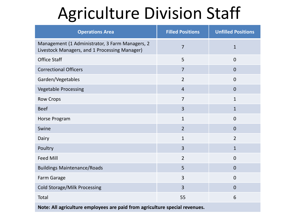## Agriculture Division Staff

| <b>Operations Area</b>                                                                           | <b>Filled Positions</b> | <b>Unfilled Positions</b> |
|--------------------------------------------------------------------------------------------------|-------------------------|---------------------------|
| Management (1 Administrator, 3 Farm Managers, 2<br>Livestock Managers, and 1 Processing Manager) | $\overline{7}$          | $\mathbf{1}$              |
| <b>Office Staff</b>                                                                              | 5                       | $\mathbf 0$               |
| <b>Correctional Officers</b>                                                                     | $\overline{7}$          | $\overline{0}$            |
| Garden/Vegetables                                                                                | $\overline{2}$          | $\mathbf 0$               |
| <b>Vegetable Processing</b>                                                                      | $\overline{4}$          | $\overline{0}$            |
| <b>Row Crops</b>                                                                                 | $\overline{7}$          | $\mathbf{1}$              |
| <b>Beef</b>                                                                                      | $\overline{3}$          | $\mathbf{1}$              |
| Horse Program                                                                                    | $\mathbf{1}$            | $\mathbf 0$               |
| Swine                                                                                            | $\overline{2}$          | $\overline{0}$            |
| Dairy                                                                                            | $\mathbf{1}$            | $\overline{2}$            |
| Poultry                                                                                          | 3                       | $\mathbf{1}$              |
| <b>Feed Mill</b>                                                                                 | $\overline{2}$          | $\mathbf 0$               |
| <b>Buildings Maintenance/Roads</b>                                                               | 5                       | $\overline{0}$            |
| Farm Garage                                                                                      | 3                       | $\mathbf 0$               |
| <b>Cold Storage/Milk Processing</b>                                                              | $\overline{3}$          | $\overline{0}$            |
| Total                                                                                            | 55                      | 6                         |
| Note: All agriculture employees are paid from agriculture special revenues.                      |                         |                           |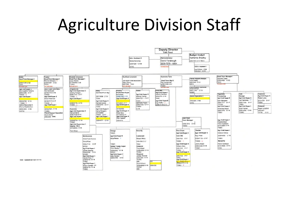#### Agriculture Division Staff

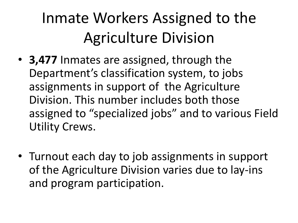## Inmate Workers Assigned to the Agriculture Division

- **3,477** Inmates are assigned, through the Department's classification system, to jobs assignments in support of the Agriculture Division. This number includes both those assigned to "specialized jobs" and to various Field Utility Crews.
- Turnout each day to job assignments in support of the Agriculture Division varies due to lay-ins and program participation.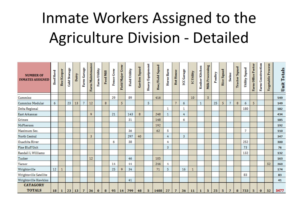#### Inmate Workers Assigned to the Agriculture Division - Detailed

| <b>NUMBER OF</b><br><b>INMATES ASSIGNED</b> | <b>Beef Herd</b> | Bee Keeper | Storage<br><b>Fold</b> | Dairy | <b>Garage</b><br>Farm | Farm Maintenance | Farm Utility | <b>Feed Mill</b> | Fence Crew | Field Major Crew | <b>Field Utility</b> | Garden Squad | Heavy Equipment | Hoe/Field Squad | Horse Barn | <b>Hot House</b> | <b>ICC Garage</b> | ICUtility | Kosher Kitchen | <b>Milk Processing</b> | Poultry | <b>Rice Squad</b> | Swine          | <b>Tractor Squad</b> | <b>Utility Squad</b> | Office Porter<br>Farm | Construction<br>Farm | Vegetable Process | <b>Unit Totals</b> |
|---------------------------------------------|------------------|------------|------------------------|-------|-----------------------|------------------|--------------|------------------|------------|------------------|----------------------|--------------|-----------------|-----------------|------------|------------------|-------------------|-----------|----------------|------------------------|---------|-------------------|----------------|----------------------|----------------------|-----------------------|----------------------|-------------------|--------------------|
| Cummins                                     |                  |            |                        |       |                       |                  |              |                  | 29         |                  | 89                   |              |                 | 416             |            |                  |                   | 10        |                | 5 <sup>5</sup>         |         |                   |                |                      |                      |                       |                      |                   | 549                |
| <b>Cummins Modular</b>                      | 6                |            | 23                     | 13    | $\overline{7}$        | 12               |              | 8                |            | 5                |                      |              | 5               |                 |            | $\overline{7}$   | 6                 |           | 1              |                        | 25      | 5                 | 7              | 8                    | 6                    | 5                     |                      |                   | 149                |
| Delta Regional                              |                  |            |                        |       |                       |                  |              |                  |            |                  |                      |              |                 |                 | 1          |                  |                   |           |                |                        |         |                   |                |                      | 180                  |                       |                      |                   | 182                |
| East Arkansas                               |                  |            |                        |       |                       | 9                |              |                  | 21         |                  | 143                  | 8            |                 | 248             |            |                  | 4                 |           |                |                        |         |                   |                |                      |                      |                       |                      |                   | 434                |
| Grimes                                      |                  |            |                        |       |                       |                  |              |                  |            |                  | 31                   |              |                 | 148             |            |                  | 6                 |           |                |                        |         |                   |                |                      |                      |                       |                      |                   | 185                |
| McPherson                                   |                  |            |                        |       |                       |                  |              |                  |            |                  |                      |              |                 | 192             |            |                  |                   |           |                |                        |         |                   |                |                      |                      |                       |                      |                   | 192                |
| Maximum Sec.                                |                  |            |                        |       |                       |                  |              |                  |            |                  | 36                   |              |                 | 62              | 5          |                  |                   |           |                |                        |         |                   |                |                      | 7                    |                       |                      |                   | 110                |
| North Central                               |                  |            |                        |       |                       | 3                |              |                  |            |                  | 297                  | 40           |                 |                 | 4          |                  | 3                 |           |                |                        |         |                   |                |                      |                      |                       |                      |                   | 347                |
| Ouachita River                              |                  |            |                        |       |                       |                  |              |                  | 6          |                  | 38                   |              |                 |                 | 4          |                  |                   |           |                |                        |         |                   |                |                      | 252                  |                       |                      |                   | 300                |
| <b>Pine Bluff Unit</b>                      |                  |            |                        |       |                       |                  |              |                  |            |                  |                      |              |                 |                 | 3          |                  |                   |           |                |                        |         |                   |                |                      | 73                   |                       |                      |                   | 76                 |
| Randall L Williams                          |                  |            |                        |       |                       |                  |              |                  |            |                  |                      |              |                 |                 |            |                  |                   |           |                |                        |         |                   |                |                      | 132                  |                       |                      |                   | 132                |
| Tucker                                      |                  |            |                        |       |                       | 12               |              |                  |            |                  | 46                   |              |                 | 105             |            |                  |                   |           |                |                        |         |                   |                |                      |                      |                       |                      |                   | 163                |
| Varner                                      |                  |            |                        |       |                       |                  |              |                  | 14         |                  | 44                   |              |                 | 246             | 4          |                  |                   |           |                |                        |         |                   |                |                      |                      |                       |                      | 52                | 360                |
| Wrightsville                                | 12               |            |                        |       |                       |                  |              |                  | 25         | 9                | 34                   |              |                 | 71              | 5          |                  | 16                | 1         |                |                        |         |                   |                |                      |                      |                       |                      |                   | 174                |
| Wrightsville Satellite                      |                  |            |                        |       |                       |                  |              |                  |            |                  |                      |              |                 |                 |            |                  |                   |           |                |                        |         |                   |                |                      | 83                   |                       |                      |                   | 83                 |
| Wrightsville Hawkins                        |                  |            |                        |       |                       |                  |              |                  |            |                  | 41                   |              |                 |                 |            |                  |                   |           |                |                        |         |                   |                |                      |                      |                       |                      |                   | 41                 |
| <b>CATAGORY</b><br><b>TOTALS</b>            | 18               | 1          | 23                     | 13    | $\overline{7}$        | 36               | $\bf{0}$     | 8                | 95         | 14               | 799                  | 48           | 5               | 1488            | 27         | $\overline{7}$   | 36                | 11        | 1              | 5.                     | 25      | 5                 | $\overline{7}$ | 8                    | 733                  | 5                     | $\bf{0}$             | 52                | 3477               |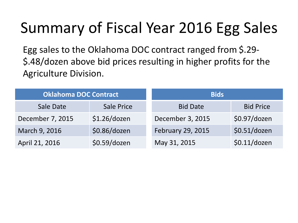#### Summary of Fiscal Year 2016 Egg Sales

Egg sales to the Oklahoma DOC contract ranged from \$.29- \$.48/dozen above bid prices resulting in higher profits for the Agriculture Division.

| <b>Oklahoma DOC Contract</b> |                   | <b>Bids</b>       |                  |  |  |  |  |  |
|------------------------------|-------------------|-------------------|------------------|--|--|--|--|--|
| Sale Date                    | <b>Sale Price</b> | <b>Bid Date</b>   | <b>Bid Price</b> |  |  |  |  |  |
| December 7, 2015             | $$1.26$ /dozen    | December 3, 2015  | \$0.97/dozen     |  |  |  |  |  |
| March 9, 2016                | \$0.86/dozen      | February 29, 2015 | \$0.51/dozen     |  |  |  |  |  |
| April 21, 2016               | \$0.59/dozen      | May 31, 2015      | \$0.11/dozen     |  |  |  |  |  |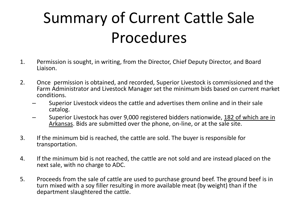#### Summary of Current Cattle Sale Procedures

- 1. Permission is sought, in writing, from the Director, Chief Deputy Director, and Board Liaison.
- 2. Once permission is obtained, and recorded, Superior Livestock is commissioned and the Farm Administrator and Livestock Manager set the minimum bids based on current market conditions.
	- Superior Livestock videos the cattle and advertises them online and in their sale catalog.
	- Superior Livestock has over 9,000 registered bidders nationwide, 182 of which are in Arkansas. Bids are submitted over the phone, on-line, or at the sale site.
- 3. If the minimum bid is reached, the cattle are sold. The buyer is responsible for transportation.
- 4. If the minimum bid is not reached, the cattle are not sold and are instead placed on the next sale, with no charge to ADC.
- 5. Proceeds from the sale of cattle are used to purchase ground beef. The ground beef is in turn mixed with a soy filler resulting in more available meat (by weight) than if the department slaughtered the cattle.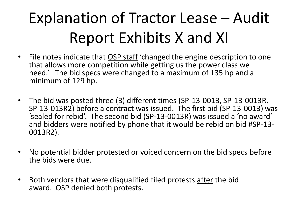## Explanation of Tractor Lease – Audit Report Exhibits X and XI

- File notes indicate that OSP staff 'changed the engine description to one that allows more competition while getting us the power class we need.' The bid specs were changed to a maximum of 135 hp and a minimum of 129 hp.
- The bid was posted three (3) different times (SP-13-0013, SP-13-0013R, SP-13-013R2) before a contract was issued. The first bid (SP-13-0013) was 'sealed for rebid'. The second bid (SP-13-0013R) was issued a 'no award' and bidders were notified by phone that it would be rebid on bid #SP-13- 0013R2).
- No potential bidder protested or voiced concern on the bid specs before the bids were due.
- Both vendors that were disqualified filed protests after the bid award. OSP denied both protests.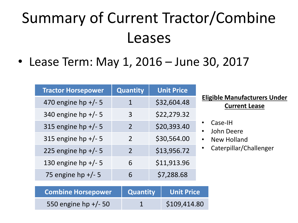## Summary of Current Tractor/Combine Leases

• Lease Term: May 1, 2016 – June 30, 2017

| <b>Tractor Horsepower</b> | Quantity                 | <b>Unit Price</b> |
|---------------------------|--------------------------|-------------------|
| 470 engine hp +/- 5       | 1                        | \$32,604.48       |
| 340 engine hp +/- 5       | 3                        | \$22,279.32       |
| 315 engine hp +/- 5       | $\overline{\mathcal{L}}$ | \$20,393.40       |
| 315 engine hp $+/-$ 5     | $\mathcal{P}$            | \$30,564.00       |
| 225 engine hp $+/-$ 5     | $\mathcal{P}$            | \$13,956.72       |
| 130 engine hp +/- 5       | 6                        | \$11,913.96       |
| 75 engine hp +/- 5        | 6                        | \$7,288.68        |

**Eligible Manufacturers Under Current Lease**

- Case-IH
- John Deere
- New Holland
- Caterpillar/Challenger

| Combine Horsepower   | Quantity Unit Price |
|----------------------|---------------------|
| 550 engine hp +/- 50 | \$109,414.80        |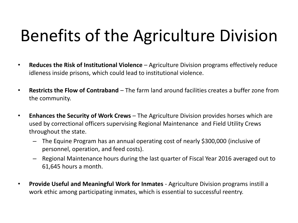# Benefits of the Agriculture Division

- **Reduces the Risk of Institutional Violence**  Agriculture Division programs effectively reduce idleness inside prisons, which could lead to institutional violence.
- **Restricts the Flow of Contraband** The farm land around facilities creates a buffer zone from the community.
- **Enhances the Security of Work Crews** The Agriculture Division provides horses which are used by correctional officers supervising Regional Maintenance and Field Utility Crews throughout the state.
	- The Equine Program has an annual operating cost of nearly \$300,000 (inclusive of personnel, operation, and feed costs).
	- Regional Maintenance hours during the last quarter of Fiscal Year 2016 averaged out to 61,645 hours a month.
- **Provide Useful and Meaningful Work for Inmates** Agriculture Division programs instill a work ethic among participating inmates, which is essential to successful reentry.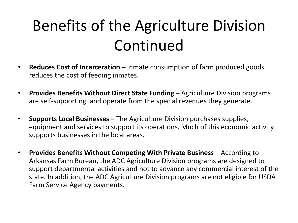## Benefits of the Agriculture Division Continued

- **Reduces Cost of Incarceration** Inmate consumption of farm produced goods reduces the cost of feeding inmates.
- **Provides Benefits Without Direct State Funding**  Agriculture Division programs are self-supporting and operate from the special revenues they generate.
- **Supports Local Businesses –** The Agriculture Division purchases supplies, equipment and services to support its operations. Much of this economic activity supports businesses in the local areas.
- **Provides Benefits Without Competing With Private Business**  According to Arkansas Farm Bureau, the ADC Agriculture Division programs are designed to support departmental activities and not to advance any commercial interest of the state. In addition, the ADC Agriculture Division programs are not eligible for USDA Farm Service Agency payments.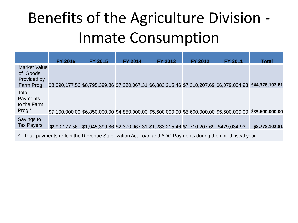### Benefits of the Agriculture Division - Inmate Consumption

|                                                              | <b>FY 2016</b>                                                                                                 | <b>FY 2015</b>                                                                        | <b>FY 2014</b> | <b>FY 2013</b> | <b>FY 2012</b> | <b>FY 2011</b> | <b>Total</b>                                                                                              |  |  |  |  |
|--------------------------------------------------------------|----------------------------------------------------------------------------------------------------------------|---------------------------------------------------------------------------------------|----------------|----------------|----------------|----------------|-----------------------------------------------------------------------------------------------------------|--|--|--|--|
| <b>Market Value</b><br>of Goods<br>Provided by<br>Farm Prog. |                                                                                                                |                                                                                       |                |                |                |                | \$8,090,177.56 \$8,795,399.86 \$7,220,067.31 \$6,883,215.46 \$7,310,207.69 \$6,079,034.93 \$44,378,102.81 |  |  |  |  |
| Total<br>Payments<br>to the Farm<br>Prog.*                   |                                                                                                                |                                                                                       |                |                |                |                | \$7,100,000.00 \$6,850,000.00 \$4,850,000.00 \$5,600,000.00 \$5,600,000.00 \$5,600,000.00 \$35,600,000.00 |  |  |  |  |
| Savings to<br><b>Tax Payers</b>                              |                                                                                                                | \$990,177.56 \$1,945,399.86 \$2,370,067.31 \$1,283,215.46 \$1,710,207.69 \$479,034.93 |                |                |                |                | \$8,778,102.81                                                                                            |  |  |  |  |
|                                                              | $^*$ - Total payments reflect the Powenue Stabilization Act Lean and ADC Payments during the poted fissal wear |                                                                                       |                |                |                |                |                                                                                                           |  |  |  |  |

Total payments reflect the Revenue Stabilization Act Loan and ADC Payments during the noted fiscal year.